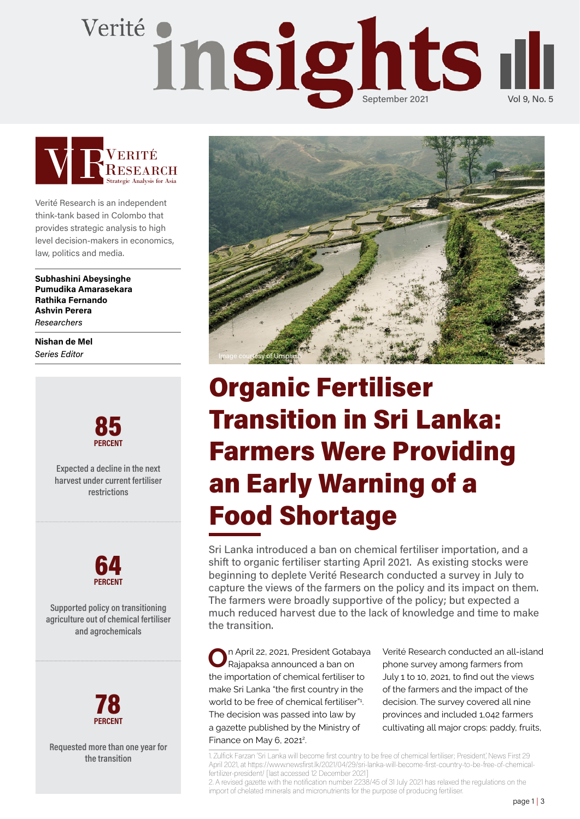# Verité insights I



Verité Research is an independent think-tank based in Colombo that provides strategic analysis to high level decision-makers in economics, law, politics and media.

Subhashini Abeysinghe Pumudika Amarasekara Rathika Fernando Ashvin Perera **Researchers** 

Nishan de Mel Series Editor



Expected a decline in the next harvest under current fertiliser restrictions



Supported policy on transitioning agriculture out of chemical fertiliser and agrochemicals



Requested more than one year for the transition



# Organic Fertiliser Transition in Sri Lanka: Farmers Were Providing an Early Warning of a Food Shortage

Sri Lanka introduced a ban on chemical fertiliser importation, and a shift to organic fertiliser starting April 2021. As existing stocks were beginning to deplete Verité Research conducted a survey in July to capture the views of the farmers on the policy and its impact on them. The farmers were broadly supportive of the policy; but expected a much reduced harvest due to the lack of knowledge and time to make the transition.

n April 22, 2021, President Gotabaya Rajapaksa announced a ban on the importation of chemical fertiliser to make Sri Lanka "the first country in the world to be free of chemical fertiliser"1 . The decision was passed into law by a gazette published by the Ministry of Finance on May  $6$ , 2021<sup>2</sup>.

Verité Research conducted an all-island phone survey among farmers from July 1 to 10, 2021, to find out the views of the farmers and the impact of the decision. The survey covered all nine provinces and included 1,042 farmers cultivating all major crops: paddy, fruits,

1. Zulfick Farzan 'Sri Lanka will become first country to be free of chemical fertiliser; President', News First 29 April 2021, at https://www.newsfirst.lk/2021/04/29/sri-lanka-will-become-first-country-to-be-free-of-chemicalfertilizer-president/ [last accessed 12 December 2021]

2. A revised gazette with the notification number 2238/45 of 31 July 2021 has relaxed the regulations on the import of chelated minerals and micronutrients for the purpose of producing fertiliser.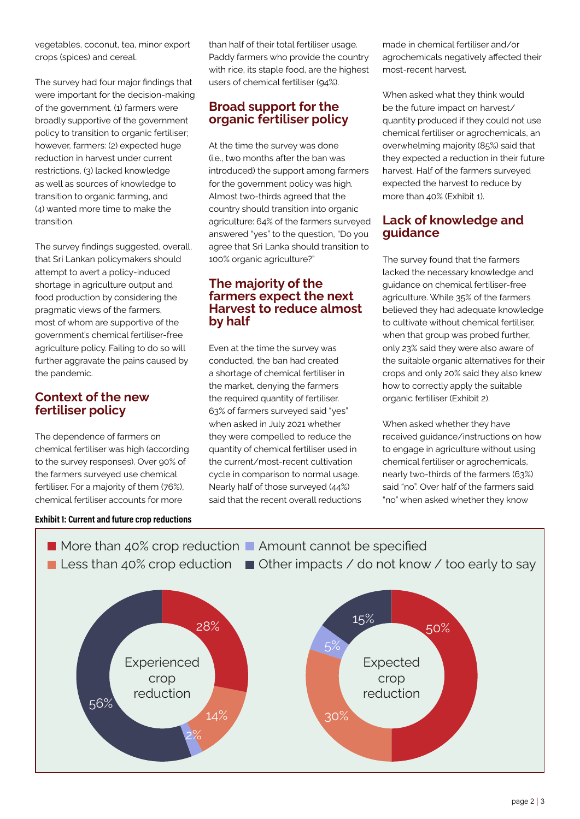vegetables, coconut, tea, minor export crops (spices) and cereal.

The survey had four major findings that were important for the decision-making of the government. (1) farmers were broadly supportive of the government policy to transition to organic fertiliser; however, farmers: (2) expected huge reduction in harvest under current restrictions, (3) lacked knowledge as well as sources of knowledge to transition to organic farming, and (4) wanted more time to make the transition.

The survey findings suggested, overall, that Sri Lankan policymakers should attempt to avert a policy-induced shortage in agriculture output and food production by considering the pragmatic views of the farmers, most of whom are supportive of the government's chemical fertiliser-free agriculture policy. Failing to do so will further aggravate the pains caused by the pandemic.

### Context of the new fertiliser policy

The dependence of farmers on chemical fertiliser was high (according to the survey responses). Over 90% of the farmers surveyed use chemical fertiliser. For a majority of them (76%), chemical fertiliser accounts for more

#### Exhibit 1: Current and future crop reductions

than half of their total fertiliser usage. Paddy farmers who provide the country with rice, its staple food, are the highest users of chemical fertiliser (94%).

### Broad support for the organic fertiliser policy

At the time the survey was done (i.e., two months after the ban was introduced) the support among farmers for the government policy was high. Almost two-thirds agreed that the country should transition into organic agriculture: 64% of the farmers surveyed answered "yes" to the question, "Do you agree that Sri Lanka should transition to 100% organic agriculture?"

#### The majority of the farmers expect the next Harvest to reduce almost by half

Even at the time the survey was conducted, the ban had created a shortage of chemical fertiliser in the market, denying the farmers the required quantity of fertiliser. 63% of farmers surveyed said "yes" when asked in July 2021 whether they were compelled to reduce the quantity of chemical fertiliser used in the current/most-recent cultivation cycle in comparison to normal usage. Nearly half of those surveyed (44%) said that the recent overall reductions

made in chemical fertiliser and/or agrochemicals negatively affected their most-recent harvest.

When asked what they think would be the future impact on harvest/ quantity produced if they could not use chemical fertiliser or agrochemicals, an overwhelming majority (85%) said that they expected a reduction in their future harvest. Half of the farmers surveyed expected the harvest to reduce by more than 40% (Exhibit 1).

### Lack of knowledge and guidance

The survey found that the farmers lacked the necessary knowledge and guidance on chemical fertiliser-free agriculture. While 35% of the farmers believed they had adequate knowledge to cultivate without chemical fertiliser, when that group was probed further, only 23% said they were also aware of the suitable organic alternatives for their crops and only 20% said they also knew how to correctly apply the suitable organic fertiliser (Exhibit 2).

When asked whether they have received guidance/instructions on how to engage in agriculture without using chemical fertiliser or agrochemicals, nearly two-thirds of the farmers (63%) said "no". Over half of the farmers said "no" when asked whether they know